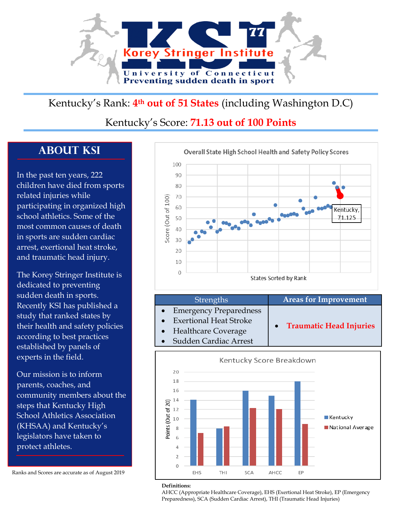

# Kentucky's Rank: **4th out of 51 States** (including Washington D.C)

## Kentucky's Score: **71.13 out of 100 Points**

# **About KSI**

In the past ten years, 222 children have died from sports related injuries while participating in organized high school athletics. Some of the most common causes of death in sports are sudden cardiac arrest, exertional heat stroke, and traumatic head injury.

The Korey Stringer Institute is dedicated to preventing sudden death in sports. Recently KSI has published a study that ranked states by their health and safety policies according to best practices established by panels of experts in the field.

Our mission is to inform parents, coaches, and community members about the steps that Kentucky High School Athletics Association (KHSAA) and Kentucky's legislators have taken to protect athletes.

Ranks and Scores are accurate as of August 2019







#### **Definitions:**

AHCC (Appropriate Healthcare Coverage), EHS (Exertional Heat Stroke), EP (Emergency Preparedness), SCA (Sudden Cardiac Arrest), THI (Traumatic Head Injuries)